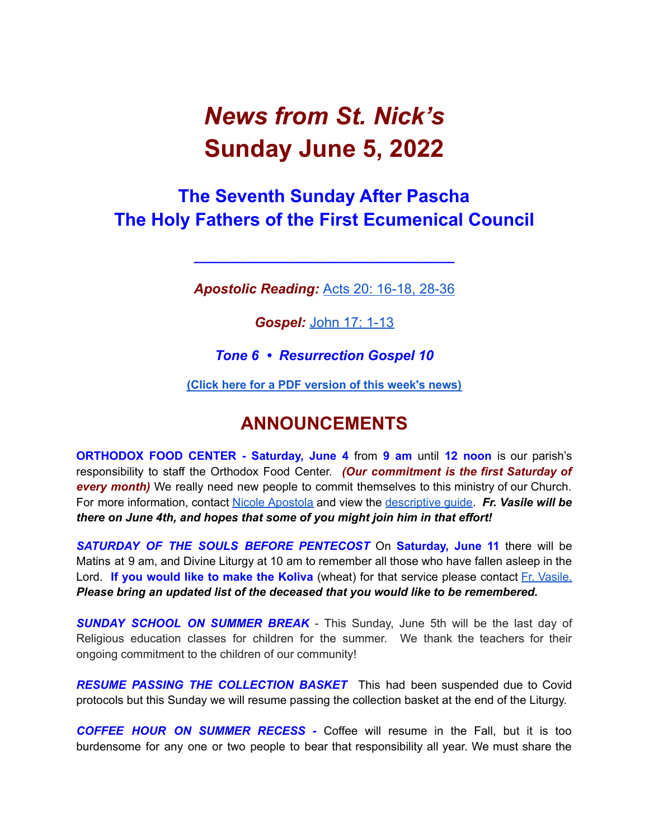# *News from St. Nick's* **Sunday June 5, 2022**

## **The Seventh Sunday After Pascha The Holy Fathers of the First Ecumenical Council**

*Apostolic Reading:* Acts 20: [16-18,](https://biblia.com/bible/esv/acts/20/16-36) 28-36

**\_\_\_\_\_\_\_\_\_\_\_\_\_\_\_\_\_\_\_\_\_\_\_\_\_\_\_\_\_\_\_\_\_\_**

*Gospel:* [John](https://biblia.com/bible/esv/john/17/1-13) 17: 1-13

*Tone 6 • Resurrection Gospel 10*

**(Click here for a PDF [version](http://www.stnicholaschurch.org/Images/News/2022-06-05.pdf) of this week's news)**

## **ANNOUNCEMENTS**

**ORTHODOX FOOD CENTER - Saturday, June 4** from **9 am** until **12 noon** is our parish's responsibility to staff the Orthodox Food Center. *(Our commitment is the first Saturday of every month)* We really need new people to commit themselves to this ministry of our Church. For more information, contact Nicole [Apostola](mailto:nicole.apostola@gmail.com) and view the [descriptive](https://docs.google.com/document/d/1a9XcmpPsPN1nCSq0u1Olq-IZViu0OQRBRDu0lVlCCFE/edit) guide. *Fr. Vasile will be there on June 4th, and hopes that some of you might join him in that effort!*

*SATURDAY OF THE SOULS BEFORE PENTECOST* On **Saturday, June 11** there will be Matins at 9 am, and Divine Liturgy at 10 am to remember all those who have fallen asleep in the Lord. **If you would like to make the Koliva** (wheat) for that service please contact Fr. [Vasile.](mailto:fr.vasileaileni@gmail.com) *Please bring an updated list of the deceased that you would like to be remembered.*

*SUNDAY SCHOOL ON SUMMER BREAK* - This Sunday, June 5th will be the last day of Religious education classes for children for the summer. We thank the teachers for their ongoing commitment to the children of our community!

*RESUME PASSING THE COLLECTION BASKET* This had been suspended due to Covid protocols but this Sunday we will resume passing the collection basket at the end of the Liturgy.

*COFFEE HOUR ON SUMMER RECESS -* Coffee will resume in the Fall, but it is too burdensome for any one or two people to bear that responsibility all year. We must share the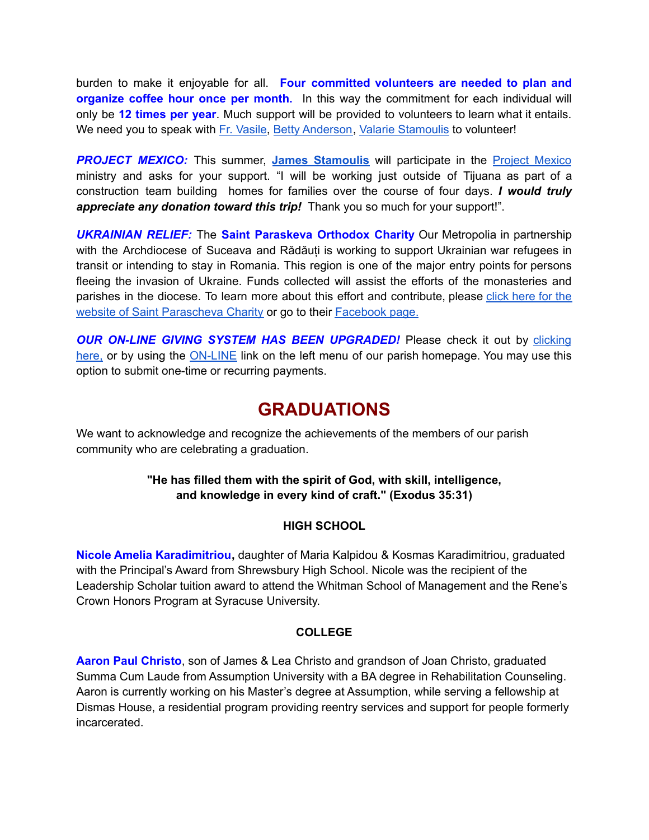burden to make it enjoyable for all. **Four committed volunteers are needed to plan and organize coffee hour once per month.** In this way the commitment for each individual will only be **12 times per year**. Much support will be provided to volunteers to learn what it entails. We need you to speak with Fr. [Vasile,](mailto:fr.vasileaileni@gmail.com) Betty [Anderson](mailto:bettya16@verizon.net), Valarie [Stamoulis](mailto:valarie.stamoulis@gmail.com) to volunteer!

**PROJECT MEXICO:** This summer, **James [Stamoulis](mailto: jamesstamoulis@icloud.com)** will participate in the **Project [Mexico](https://www.projectmexico.org/)** ministry and asks for your support. "I will be working just outside of Tijuana as part of a construction team building homes for families over the course of four days. *I would truly appreciate any donation toward this trip!* Thank you so much for your support!".

*UKRAINIAN RELIEF:* The **Saint Paraskeva Orthodox Charity** Our Metropolia in partnership with the Archdiocese of Suceava and Rădăuți is working to support Ukrainian war refugees in transit or intending to stay in Romania. This region is one of the major entry points for persons fleeing the invasion of Ukraine. Funds collected will assist the efforts of the monasteries and parishes in the diocese. To learn more about this effort and contribute, please click [here](https://www.spcharity.org/) for the website of Saint [Parascheva](https://www.spcharity.org/) Charity or go to their [Facebook](https://www.facebook.com/donate/263166699318376/4935598499809637/) page.

*OUR ON-LINE GIVING SYSTEM HAS BEEN UPGRADED!* Please check it out by [clicking](https://giving.parishsoft.com/app/giving/stnicks) [here,](https://giving.parishsoft.com/app/giving/stnicks) or by using the [ON-LINE](http://www.stnicholaschurch.org) link on the left menu of our parish homepage. You may use this option to submit one-time or recurring payments.

### **GRADUATIONS**

We want to acknowledge and recognize the achievements of the members of our parish community who are celebrating a graduation.

#### **"He has filled them with the spirit of God, with skill, intelligence, and knowledge in every kind of craft." (Exodus 35:31)**

#### **HIGH SCHOOL**

**Nicole Amelia Karadimitriou,** daughter of Maria Kalpidou & Kosmas Karadimitriou, graduated with the Principal's Award from Shrewsbury High School. Nicole was the recipient of the Leadership Scholar tuition award to attend the Whitman School of Management and the Rene's Crown Honors Program at Syracuse University.

#### **COLLEGE**

**Aaron Paul Christo**, son of James & Lea Christo and grandson of Joan Christo, graduated Summa Cum Laude from Assumption University with a BA degree in Rehabilitation Counseling. Aaron is currently working on his Master's degree at Assumption, while serving a fellowship at Dismas House, a residential program providing reentry services and support for people formerly incarcerated.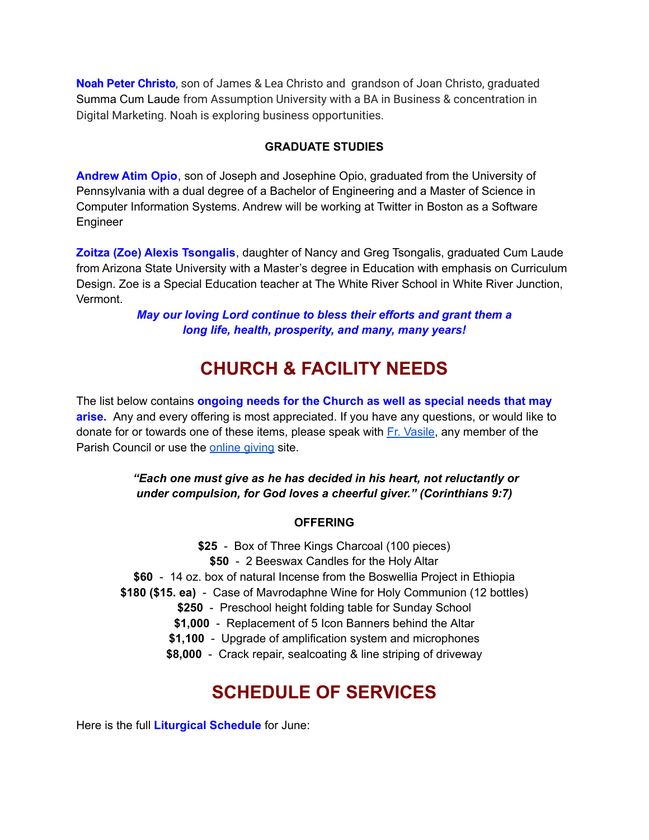**Noah Peter Christo**, son of James & Lea Christo and grandson of Joan Christo, graduated Summa Cum Laude from Assumption University with a BA in Business & concentration in Digital Marketing. Noah is exploring business opportunities.

#### **GRADUATE STUDIES**

**Andrew Atim Opio**, son of Joseph and Josephine Opio, graduated from the University of Pennsylvania with a dual degree of a Bachelor of Engineering and a Master of Science in Computer Information Systems. Andrew will be working at Twitter in Boston as a Software Engineer

**Zoitza (Zoe) Alexis Tsongalis**, daughter of Nancy and Greg Tsongalis, graduated Cum Laude from Arizona State University with a Master's degree in Education with emphasis on Curriculum Design. Zoe is a Special Education teacher at The White River School in White River Junction, Vermont.

> *May our loving Lord continue to bless their efforts and grant them a long life, health, prosperity, and many, many years!*

## **CHURCH & FACILITY NEEDS**

The list below contains **ongoing needs for the Church as well as special needs that may arise.** Any and every offering is most appreciated. If you have any questions, or would like to donate for or towards one of these items, please speak with Fr. [Vasile](mailto:fr.vasileaileni@gmail.com), any member of the Parish Council or use the **[online](https://giving.parishsoft.com/app/giving/stnicks) giving** site.

> *"Each one must give as he has decided in his heart, not reluctantly or under compulsion, for God loves a cheerful giver." (Corinthians 9:7)*

#### **OFFERING**

**\$25** - Box of Three Kings Charcoal (100 pieces) **\$50** - 2 Beeswax Candles for the Holy Altar **\$60** - 14 oz. box of natural Incense from the Boswellia Project in Ethiopia **\$180 (\$15. ea)** - Case of Mavrodaphne Wine for Holy Communion (12 bottles) **\$250** - Preschool height folding table for Sunday School **\$1,000** - Replacement of 5 Icon Banners behind the Altar **\$1,100** - Upgrade of amplification system and microphones

**\$8,000** - Crack repair, sealcoating & line striping of driveway

## **SCHEDULE OF SERVICES**

Here is the full **Liturgical Schedule** for June: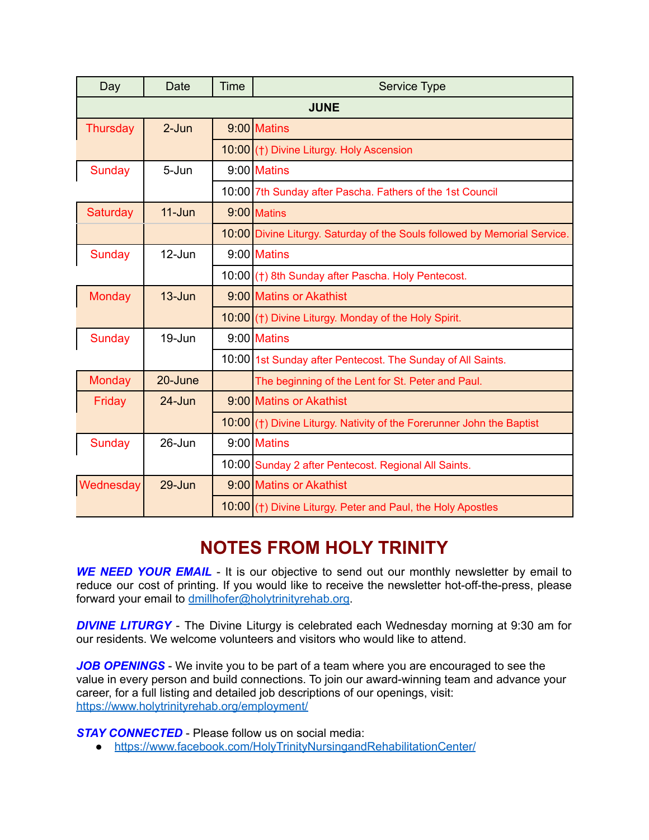| Day           | Date       | Time | <b>Service Type</b>                                                       |
|---------------|------------|------|---------------------------------------------------------------------------|
| <b>JUNE</b>   |            |      |                                                                           |
| Thursday      | $2-Jun$    |      | 9:00 Matins                                                               |
|               |            |      | 10:00 (†) Divine Liturgy. Holy Ascension                                  |
| <b>Sunday</b> | 5-Jun      |      | 9:00 Matins                                                               |
|               |            |      | 10:00 7th Sunday after Pascha. Fathers of the 1st Council                 |
| Saturday      | $11 - Jun$ |      | 9:00 Matins                                                               |
|               |            |      | 10:00 Divine Liturgy. Saturday of the Souls followed by Memorial Service. |
| Sunday        | $12$ -Jun  |      | 9:00 Matins                                                               |
|               |            |      | 10:00 (†) 8th Sunday after Pascha. Holy Pentecost.                        |
| <b>Monday</b> | $13 - Jun$ |      | 9:00 Matins or Akathist                                                   |
|               |            |      | 10:00 (†) Divine Liturgy. Monday of the Holy Spirit.                      |
| <b>Sunday</b> | 19-Jun     |      | 9:00 Matins                                                               |
|               |            |      | 10:00 1st Sunday after Pentecost. The Sunday of All Saints.               |
| <b>Monday</b> | 20-June    |      | The beginning of the Lent for St. Peter and Paul.                         |
| Friday        | $24 - Jun$ |      | 9:00 Matins or Akathist                                                   |
|               |            |      | 10:00 (†) Divine Liturgy. Nativity of the Forerunner John the Baptist     |
| <b>Sunday</b> | $26 - Jun$ |      | 9:00 Matins                                                               |
|               |            |      | 10:00 Sunday 2 after Pentecost. Regional All Saints.                      |
| Wednesday     | 29-Jun     |      | 9:00 Matins or Akathist                                                   |
|               |            |      | 10:00 (†) Divine Liturgy. Peter and Paul, the Holy Apostles               |

# **NOTES FROM HOLY TRINITY**

*WE NEED YOUR EMAIL* - It is our objective to send out our monthly newsletter by email to reduce our cost of printing. If you would like to receive the newsletter hot-off-the-press, please forward your email to [dmillhofer@holytrinityrehab.org.](mailto:dmillhofer@holytrinityrehab.org)

**DIVINE LITURGY** - The Divine Liturgy is celebrated each Wednesday morning at 9:30 am for our residents. We welcome volunteers and visitors who would like to attend.

*JOB OPENINGS* - We invite you to be part of a team where you are encouraged to see the value in every person and build connections. To join our award-winning team and advance your career, for a full listing and detailed job descriptions of our openings, visit: <https://www.holytrinityrehab.org/employment/>

*STAY CONNECTED* - Please follow us on social media:

● <https://www.facebook.com/HolyTrinityNursingandRehabilitationCenter/>